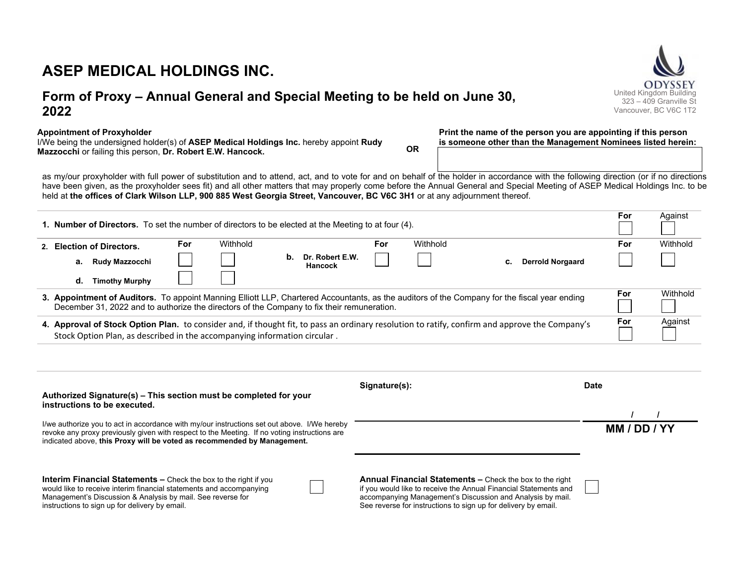# **ASEP MEDICAL HOLDINGS INC.**

# **Form of Proxy – Annual General and Special Meeting to be held on June 30, 2022**

**Appointment of Proxyholder** 

I/We being the undersigned holder(s) of **ASEP Medical Holdings Inc.** hereby appoint **Rudy Mazzocchi** or failing this person, **Dr. Robert E.W. Hancock. OR** 

**Print the name of the person you are appointing if this person is someone other than the Management Nominees listed herein:** 

as my/our proxyholder with full power of substitution and to attend, act, and to vote for and on behalf of the holder in accordance with the following direction (or if no directions have been given, as the proxyholder sees fit) and all other matters that may properly come before the Annual General and Special Meeting of ASEP Medical Holdings Inc. to be held at **the offices of Clark Wilson LLP, 900 885 West Georgia Street, Vancouver, BC V6C 3H1** or at any adjournment thereof.

| <b>1. Number of Directors.</b> To set the number of directors to be elected at the Meeting to at four (4).                                                                                                                                 |                             |            |          |    |                                   |     | For      | Against                       |          |     |          |
|--------------------------------------------------------------------------------------------------------------------------------------------------------------------------------------------------------------------------------------------|-----------------------------|------------|----------|----|-----------------------------------|-----|----------|-------------------------------|----------|-----|----------|
|                                                                                                                                                                                                                                            | 2. Election of Directors.   | <b>For</b> | Withhold |    |                                   | For | Withhold |                               |          | For | Withhold |
|                                                                                                                                                                                                                                            | <b>Rudy Mazzocchi</b><br>а. |            |          | b. | Dr. Robert E.W.<br><b>Hancock</b> |     |          | <b>Derrold Norgaard</b><br>C. |          |     |          |
|                                                                                                                                                                                                                                            | <b>Timothy Murphy</b><br>d. |            |          |    |                                   |     |          |                               |          |     |          |
| 3. Appointment of Auditors. To appoint Manning Elliott LLP, Chartered Accountants, as the auditors of the Company for the fiscal year ending<br>December 31, 2022 and to authorize the directors of the Company to fix their remuneration. |                             |            |          |    |                                   |     |          | For                           | Withhold |     |          |
| 4. Approval of Stock Option Plan. to consider and, if thought fit, to pass an ordinary resolution to ratify, confirm and approve the Company's<br>Stock Option Plan, as described in the accompanying information circular.                |                             |            |          |    |                                   | For | Against  |                               |          |     |          |

| Authorized Signature(s) - This section must be completed for your                                                                                                                                                                                                      | Signature(s):                                                                                                                                                                                                                                                       | Date         |  |  |
|------------------------------------------------------------------------------------------------------------------------------------------------------------------------------------------------------------------------------------------------------------------------|---------------------------------------------------------------------------------------------------------------------------------------------------------------------------------------------------------------------------------------------------------------------|--------------|--|--|
| instructions to be executed.                                                                                                                                                                                                                                           |                                                                                                                                                                                                                                                                     |              |  |  |
| I/we authorize you to act in accordance with my/our instructions set out above. I/We hereby<br>revoke any proxy previously given with respect to the Meeting. If no voting instructions are<br>indicated above, this Proxy will be voted as recommended by Management. |                                                                                                                                                                                                                                                                     | MM / DD / YY |  |  |
| <b>Interim Financial Statements - Check the box to the right if you</b><br>would like to receive interim financial statements and accompanying<br>Management's Discussion & Analysis by mail. See reverse for<br>instructions to sign up for delivery by email.        | <b>Annual Financial Statements –</b> Check the box to the right<br>if you would like to receive the Annual Financial Statements and<br>accompanying Management's Discussion and Analysis by mail.<br>See reverse for instructions to sign up for delivery by email. |              |  |  |